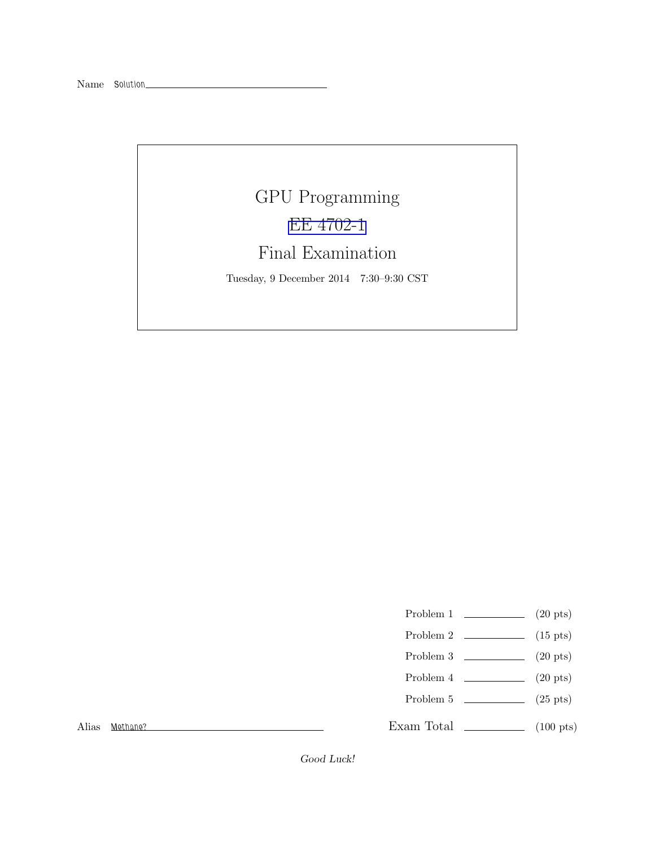# GPU Programming [EE 4702-1](http://www.ece.lsu.edu/koppel/gpup/) Final Examination

Tuesday, 9 December 2014 7:30–9:30 CST

- Problem 1  $\qquad \qquad (20 \text{ pts})$
- Problem 2  $\qquad \qquad$  (15 pts)
- Problem 3  $\qquad \qquad (20 \text{ pts})$
- Problem 4  $\qquad \qquad (20 \text{ pts})$
- Problem 5 (25 pts)

Alias Methane?

Exam Total  $\qquad \qquad$  (100 pts)

Good Luck!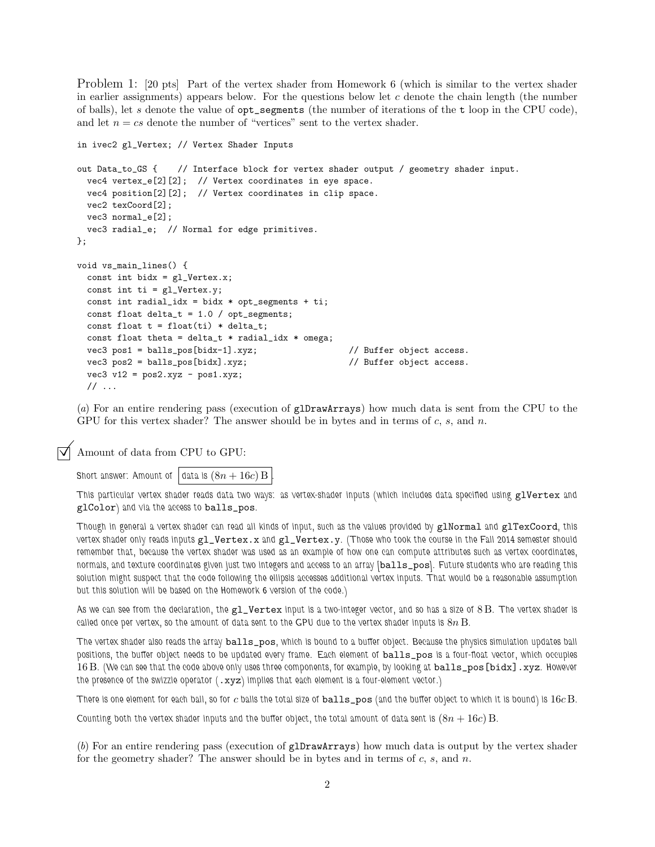Problem 1: [20 pts] Part of the vertex shader from Homework 6 (which is similar to the vertex shader in earlier assignments) appears below. For the questions below let  $c$  denote the chain length (the number of balls), let s denote the value of  $opt$  segments (the number of iterations of the t loop in the CPU code), and let  $n = cs$  denote the number of "vertices" sent to the vertex shader.

```
in ivec2 gl_Vertex; // Vertex Shader Inputs
out Data_to_GS { // Interface block for vertex shader output / geometry shader input.
 vec4 vertex_e[2][2]; // Vertex coordinates in eye space.
 vec4 position[2][2]; // Vertex coordinates in clip space.
 vec2 texCoord[2];
 vec3 normal_e[2];
 vec3 radial_e; // Normal for edge primitives.
};
void vs_main_lines() {
 const int bidx = gl_Vertex.x;
 const int ti = gl_Vertex.y;
 const int radial_idx = bidx * opt_segments + ti;
 const float delta_t = 1.0 / opt_segments;
 const float t = float(ti) * delta_t;const float theta = delta_t * radial_idx * omega;
 vec3 pos1 = balls_pos[bidx-1].xyz; // Buffer object access.
 vec3 pos2 = balls_pos[bidx].xyz; // Buffer object access.
 vec3 v12 = pos2.xyz - pos1.xyz;
 \frac{1}{2}...
```
(*a*) For an entire rendering pass (execution of glDrawArrays) how much data is sent from the CPU to the GPU for this vertex shader? The answer should be in bytes and in terms of  $c, s,$  and  $n$ .

Amount of data from CPU to GPU:

Short answer: Amount of data is  $(8n + 16c)$  B

This particular vertex shader reads data two ways: as vertex-shader inputs (which includes data specified using glVertex and glColor) and via the access to balls\_pos.

Though in general a vertex shader can read all kinds of input, such as the values provided by glNormal and glTexCoord, this vertex shader only reads inputs gl\_Vertex.x and gl\_Vertex.y. (Those who took the course in the Fall 2014 semester should remember that, because the vertex shader was used as an example of how one can compute attributes such as vertex coordinates, normals, and texture coordinates given just two integers and access to an array [balls\_pos]. Future students who are reading this solution might suspect that the code following the ellipsis accesses additional vertex inputs. That would be a reasonable assumption but this solution will be based on the Homework 6 version of the code.)

As we can see from the declaration, the  $g_1$ -Vertex input is a two-integer vector, and so has a size of 8 B. The vertex shader is called once per vertex, so the amount of data sent to the GPU due to the vertex shader inputs is  $8n$  B.

The vertex shader also reads the array balls\_pos, which is bound to a buffer object. Because the physics simulation updates ball positions, the buffer object needs to be updated every frame. Each element of balls\_pos is a four-float vector, which occupies 16 B. (We can see that the code above only uses three components, for example, by looking at balls\_pos[bidx].xyz. However the presence of the swizzle operator  $(xxyz)$  implies that each element is a four-element vector.)

There is one element for each ball, so for c balls the total size of  $balls\_pos$  (and the buffer object to which it is bound) is  $16c$  B.

Counting both the vertex shader inputs and the buffer object, the total amount of data sent is  $(8n + 16c)$  B.

(*b*) For an entire rendering pass (execution of glDrawArrays) how much data is output by the vertex shader for the geometry shader? The answer should be in bytes and in terms of  $c, s$ , and  $n$ .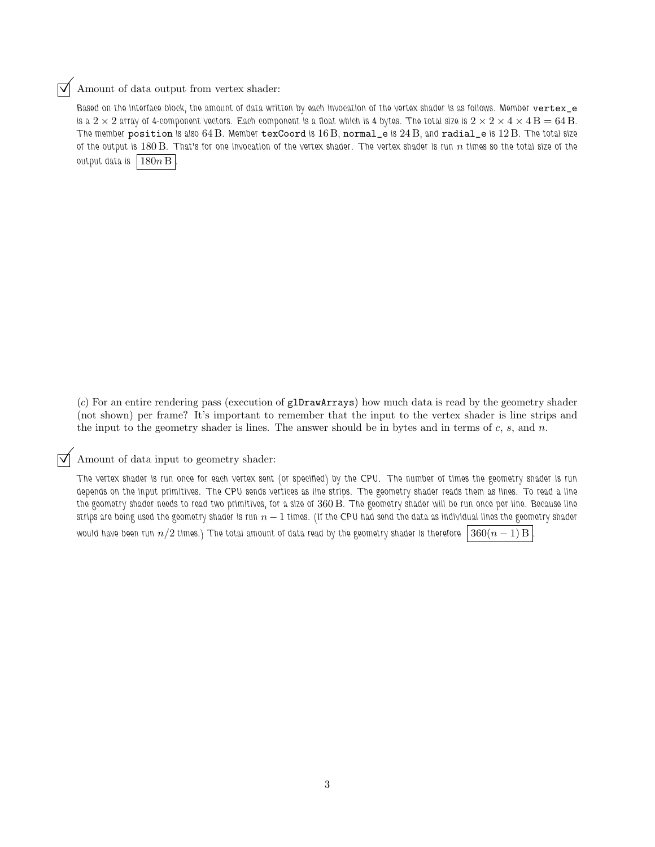## $\triangledown$  Amount of data output from vertex shader:

Based on the interface block, the amount of data written by each invocation of the vertex shader is as follows. Member vertex\_e is a  $2\times 2$  array of 4-component vectors. Each component is a float which is 4 bytes. The total size is  $2\times 2\times 4\times 4$  B  $= 64$  B. The member position is also 64 B. Member texCoord is  $16 B$ , normal\_e is  $24 B$ , and radial\_e is  $12 B$ . The total size of the output is 180 B. That's for one invocation of the vertex shader. The vertex shader is run  $n$  times so the total size of the output data is  $180n B$ 

(*c*) For an entire rendering pass (execution of glDrawArrays) how much data is read by the geometry shader (not shown) per frame? It's important to remember that the input to the vertex shader is line strips and the input to the geometry shader is lines. The answer should be in bytes and in terms of  $c, s,$  and  $n$ .

## $\triangledown$  Amount of data input to geometry shader:

The vertex shader is run once for each vertex sent (or specified) by the CPU. The number of times the geometry shader is run depends on the input primitives. The CPU sends vertices as line strips. The geometry shader reads them as lines. To read a line the geometry shader needs to read two primitives, for a size of 360 B. The geometry shader will be run once per line. Because line strips are being used the geometry shader is run  $n - 1$  times. (If the CPU had send the data as individual lines the geometry shader would have been run  $n/2$  times.) The total amount of data read by the geometry shader is therefore  $360(n - 1)$  B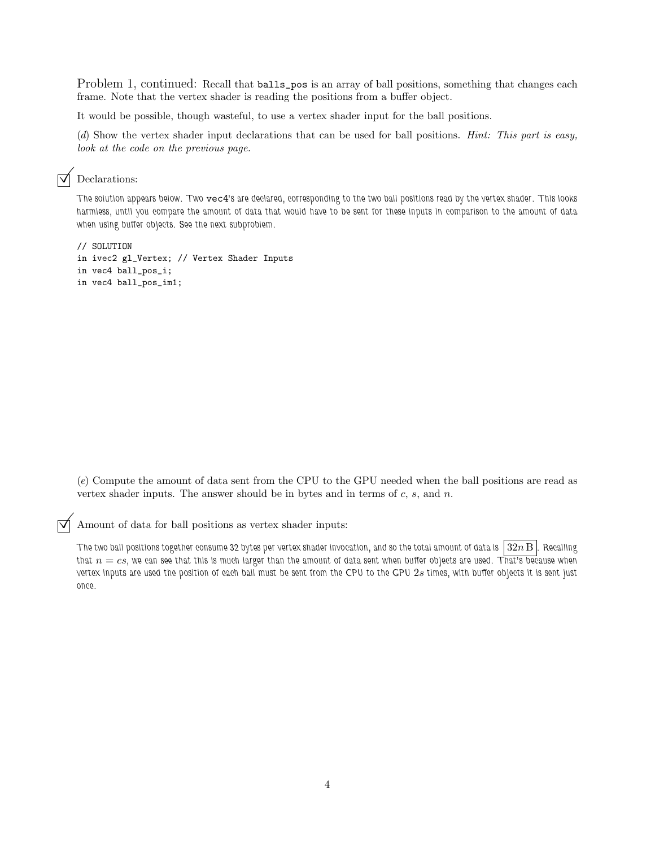Problem 1, continued: Recall that **balls\_pos** is an array of ball positions, something that changes each frame. Note that the vertex shader is reading the positions from a buffer object.

It would be possible, though wasteful, to use a vertex shader input for the ball positions.

(*d*) Show the vertex shader input declarations that can be used for ball positions. *Hint: This part is easy, look at the code on the previous page.*

## $\nabla$  Declarations:

The solution appears below. Two vec4's are declared, corresponding to the two ball positions read by the vertex shader. This looks harmless, until you compare the amount of data that would have to be sent for these inputs in comparison to the amount of data when using buffer objects. See the next subproblem.

```
// SOLUTION
in ivec2 gl_Vertex; // Vertex Shader Inputs
in vec4 ball_pos_i;
in vec4 ball_pos_im1;
```
(*e*) Compute the amount of data sent from the CPU to the GPU needed when the ball positions are read as vertex shader inputs. The answer should be in bytes and in terms of  $c, s$ , and  $n$ .

Amount of data for ball positions as vertex shader inputs:

The two ball positions together consume 32 bytes per vertex shader invocation, and so the total amount of data is  $\lfloor 32n \,\mathrm{B} \rfloor$ . Recalling that  $n = cs$ , we can see that this is much larger than the amount of data sent when buffer objects are used. That's because when vertex inputs are used the position of each ball must be sent from the CPU to the GPU 2s times, with buffer objects it is sent just once.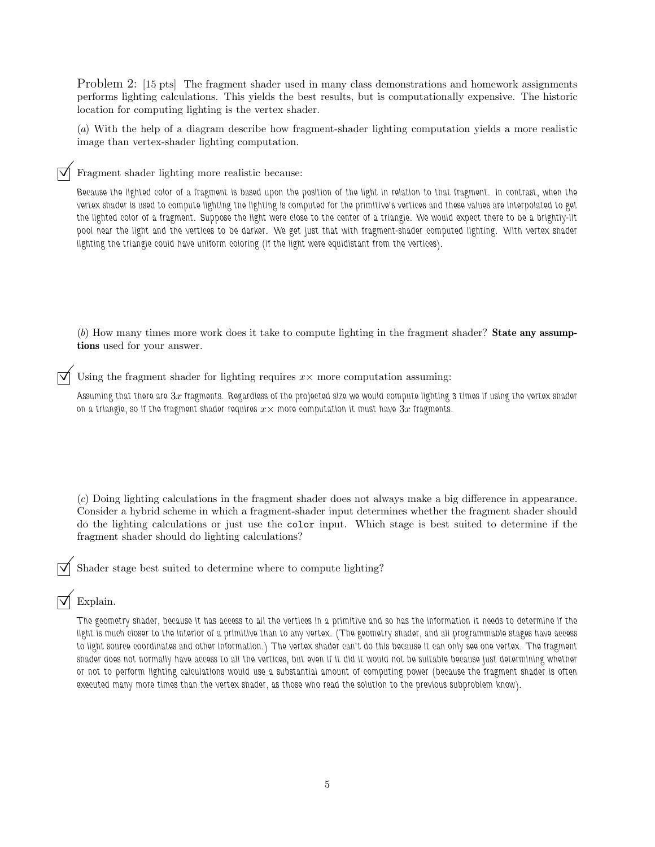Problem 2: [15 pts] The fragment shader used in many class demonstrations and homework assignments performs lighting calculations. This yields the best results, but is computationally expensive. The historic location for computing lighting is the vertex shader.

(*a*) With the help of a diagram describe how fragment-shader lighting computation yields a more realistic image than vertex-shader lighting computation.

Fragment shader lighting more realistic because:

Because the lighted color of a fragment is based upon the position of the light in relation to that fragment. In contrast, when the vertex shader is used to compute lighting the lighting is computed for the primitive's vertices and these values are interpolated to get the lighted color of a fragment. Suppose the light were close to the center of a triangle. We would expect there to be a brightly-lit pool near the light and the vertices to be darker. We get just that with fragment-shader computed lighting. With vertex shader lighting the triangle could have uniform coloring (if the light were equidistant from the vertices).

(*b*) How many times more work does it take to compute lighting in the fragment shader? State any assumptions used for your answer.

Using the fragment shader for lighting requires  $x \times$  more computation assuming:

Assuming that there are  $3x$  fragments. Regardless of the projected size we would compute lighting 3 times if using the vertex shader on a triangle, so if the fragment shader requires  $x \times$  more computation it must have  $3x$  fragments.

(*c*) Doing lighting calculations in the fragment shader does not always make a big difference in appearance. Consider a hybrid scheme in which a fragment-shader input determines whether the fragment shader should do the lighting calculations or just use the color input. Which stage is best suited to determine if the fragment shader should do lighting calculations?

Shader stage best suited to determine where to compute lighting?

## Explain.

The geometry shader, because it has access to all the vertices in a primitive and so has the information it needs to determine if the light is much closer to the interior of a primitive than to any vertex. (The geometry shader, and all programmable stages have access to light source coordinates and other information.) The vertex shader can't do this because it can only see one vertex. The fragment shader does not normally have access to all the vertices, but even if it did it would not be suitable because just determining whether or not to perform lighting calculations would use a substantial amount of computing power (because the fragment shader is often executed many more times than the vertex shader, as those who read the solution to the previous subproblem know).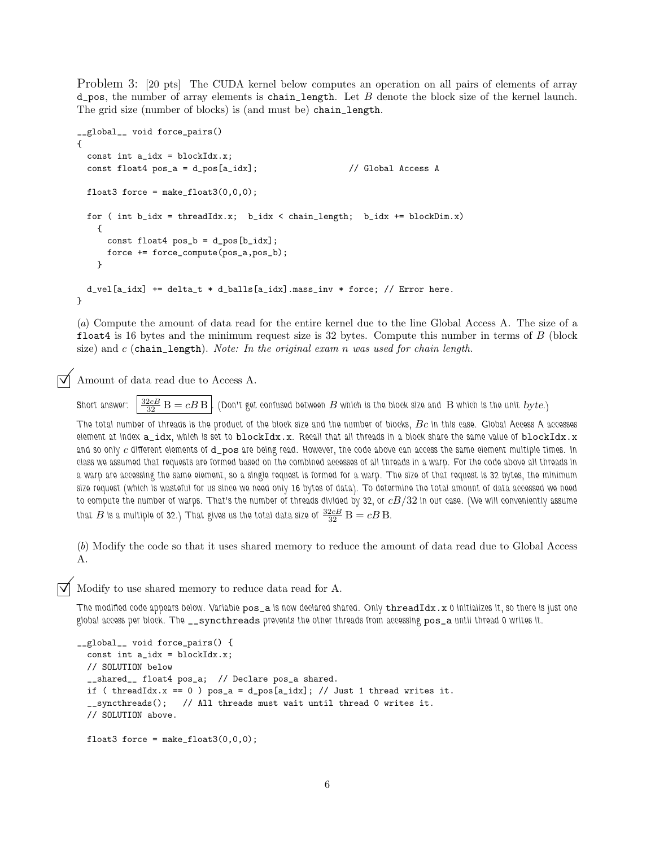Problem 3: [20 pts] The CUDA kernel below computes an operation on all pairs of elements of array  $d$ -pos, the number of array elements is chain\_length. Let B denote the block size of the kernel launch. The grid size (number of blocks) is (and must be) chain\_length.

```
__global__ void force_pairs()
{
 const int a_idx = blockIdx.x;const float4 pos_a = d_pos[a_idx]; // Global Access A
 float3 force = make_fload3(0,0,0);for ( int b_idx = threadIdx.x; b_idx < chain_length; b_idx += blockDim.x)
   {
     const float4 pos_b = d_pos[b_idx];
     force += force_compute(pos_a,pos_b);
    }
 d_vel[a_idx] += delta_t * d_balls[a_idx].mass_inv * force; // Error here.
}
```
(*a*) Compute the amount of data read for the entire kernel due to the line Global Access A. The size of a float4 is 16 bytes and the minimum request size is  $32$  bytes. Compute this number in terms of  $B$  (block size) and c (chain\_length). *Note: In the original exam* n *was used for chain length.*

Amount of data read due to Access A.

Short answer:  $\frac{32cB}{32}$  B  $=cB$  B  $\mid$  (Don't get confused between  $B$  which is the block size and  $\mid$  B which is the unit  $byte$ .)

The total number of threads is the product of the block size and the number of blocks,  $Bc$  in this case. Global Access A accesses element at index  $a\_idx$ , which is set to  $blockidx.x$ . Recall that all threads in a block share the same value of  $blockidx.x$ and so only c different elements of d\_pos are being read. However, the code above can access the same element multiple times. In class we assumed that requests are formed based on the combined accesses of all threads in a warp. For the code above all threads in a warp are accessing the same element, so a single request is formed for a warp. The size of that request is 32 bytes, the minimum size request (which is wasteful for us since we need only 16 bytes of data). To determine the total amount of data accessed we need to compute the number of warps. That's the number of threads divided by 32, or  $cB/32$  in our case. (We will conveniently assume that  $B$  is a multiple of 32.) That gives us the total data size of  $\frac{32cB}{32}$   $\overline{\text{B}} = cB\,\text{B}$ .

(*b*) Modify the code so that it uses shared memory to reduce the amount of data read due to Global Access A.

Modify to use shared memory to reduce data read for A.

The modified code appears below. Variable pos\_a is now declared shared. Only threadIdx.x 0 initializes it, so there is just one global access per block. The \_\_syncthreads prevents the other threads from accessing pos\_a until thread 0 writes it.

```
__global__ void force_pairs() {
 const int a_idx = blockIdx.x;// SOLUTION below
  __shared__ float4 pos_a; // Declare pos_a shared.
 if ( threadIdx.x == 0 ) pos_a = d_pos[a_idx]; // Just 1 thread writes it.
  __syncthreads(); // All threads must wait until thread 0 writes it.
 // SOLUTION above.
 float3 force = make_float3(0,0,0);
```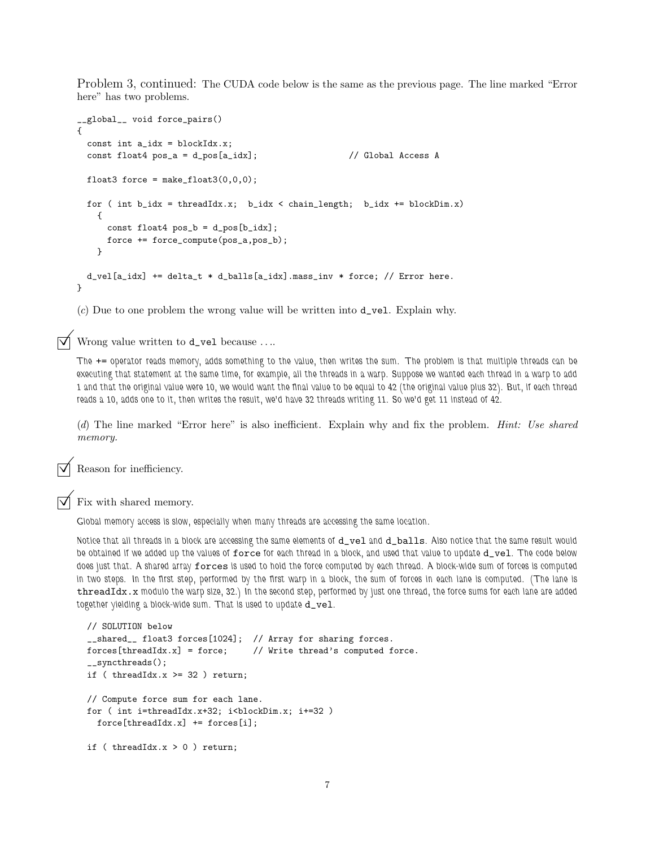Problem 3, continued: The CUDA code below is the same as the previous page. The line marked "Error here" has two problems.

```
__global__ void force_pairs()
{
  const int a_idx = blockIdx.x;const float4 pos_a = d_pos[a_idx]; // Global Access A
 float3 force = make_float3(0,0,0);
 for ( int b_idx = threadIdx.x; b_idx < chain_length; b_idx += blockDim.x)
   {
     const float4 pos_b = d_pos[b_idx];
     force += force_compute(pos_a,pos_b);
   }
 d_vel[a_idx] += delta_t * d_balls[a_idx].mass_inv * force; // Error here.
}
```
(*c*) Due to one problem the wrong value will be written into d\_vel. Explain why.

 $\triangledown$  Wrong value written to **d\_vel** because ....

The += operator reads memory, adds something to the value, then writes the sum. The problem is that multiple threads can be executing that statement at the same time, for example, all the threads in a warp. Suppose we wanted each thread in a warp to add 1 and that the original value were 10, we would want the final value to be equal to 42 (the original value plus 32). But, if each thread reads a 10, adds one to it, then writes the result, we'd have 32 threads writing 11. So we'd get 11 instead of 42.

(*d*) The line marked "Error here" is also inefficient. Explain why and fix the problem. *Hint: Use shared memory.*

Reason for inefficiency.

Fix with shared memory.

Global memory access is slow, especially when many threads are accessing the same location.

Notice that all threads in a block are accessing the same elements of d\_vel and d\_balls. Also notice that the same result would be obtained if we added up the values of force for each thread in a block, and used that value to update d\_vel. The code below does just that. A shared array forces is used to hold the force computed by each thread. A block-wide sum of forces is computed in two steps. In the first step, performed by the first warp in a block, the sum of forces in each lane is computed. (The lane is threadIdx.x modulo the warp size, 32.) In the second step, performed by just one thread, the force sums for each lane are added together yielding a block-wide sum. That is used to update  $d\_vel$ .

```
// SOLUTION below
__shared__ float3 forces[1024]; // Array for sharing forces.
forces[threadIdx.x] = force; // Write thread's computed force.
__syncthreads();
if ( threadIdx.x > = 32 ) return;
// Compute force sum for each lane.
for ( int i=threadIdx.x+32; i<br/>blockDim.x; i+=32 )
  force[threadIdx.x] += forces[i];
if ( threadIdx.x > 0 ) return;
```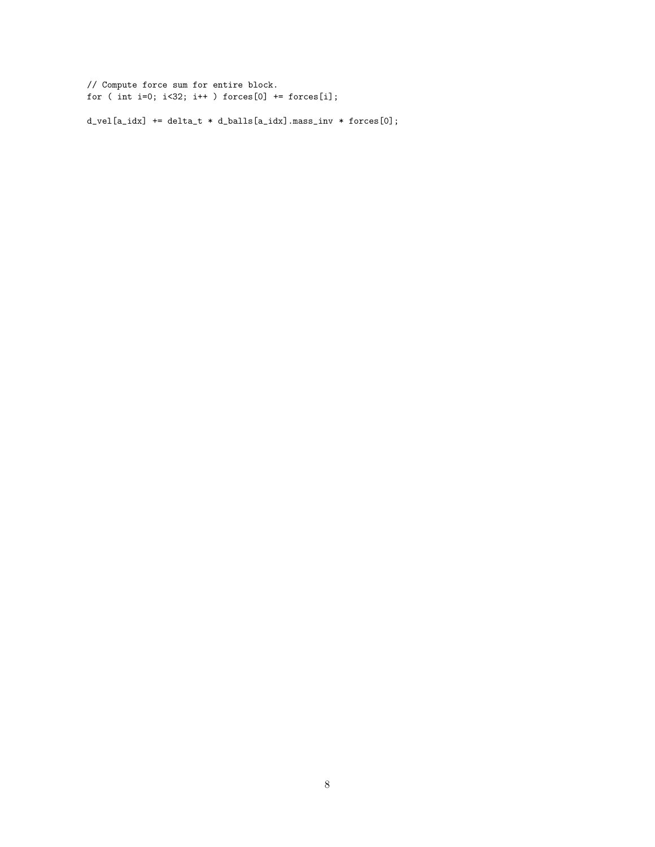// Compute force sum for entire block. for ( int i=0;  $i$ <32;  $i$ ++ ) forces[0] += forces[i];

 $d_{vel}[a\_idx]$  +=  $delta_t * d\_balls[a\_idx]$ . mass\_inv \* forces $[0]$ ;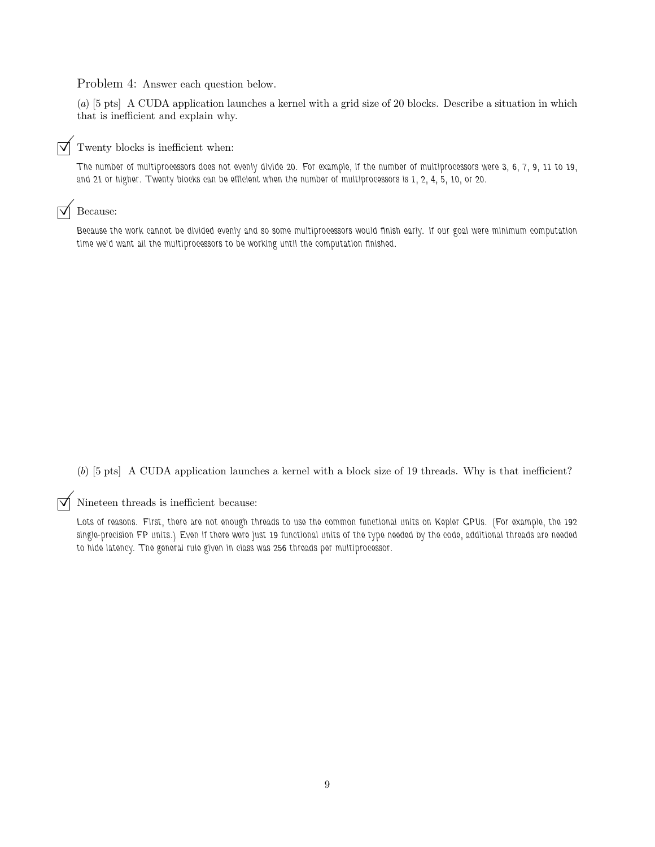Problem 4: Answer each question below.

(*a*) [5 pts] A CUDA application launches a kernel with a grid size of 20 blocks. Describe a situation in which that is inefficient and explain why.



The number of multiprocessors does not evenly divide 20. For example, if the number of multiprocessors were 3, 6, 7, 9, 11 to 19, and 21 or higher. Twenty blocks can be efficient when the number of multiprocessors is 1, 2, 4, 5, 10, or 20.

#### $\triangledown$  Because:

Because the work cannot be divided evenly and so some multiprocessors would finish early. If our goal were minimum computation time we'd want all the multiprocessors to be working until the computation finished.

(*b*) [5 pts] A CUDA application launches a kernel with a block size of 19 threads. Why is that inefficient?

 $\triangledown$  Nineteen threads is inefficient because:

Lots of reasons. First, there are not enough threads to use the common functional units on Kepler GPUs. (For example, the 192 single-precision FP units.) Even if there were just 19 functional units of the type needed by the code, additional threads are needed to hide latency. The general rule given in class was 256 threads per multiprocessor.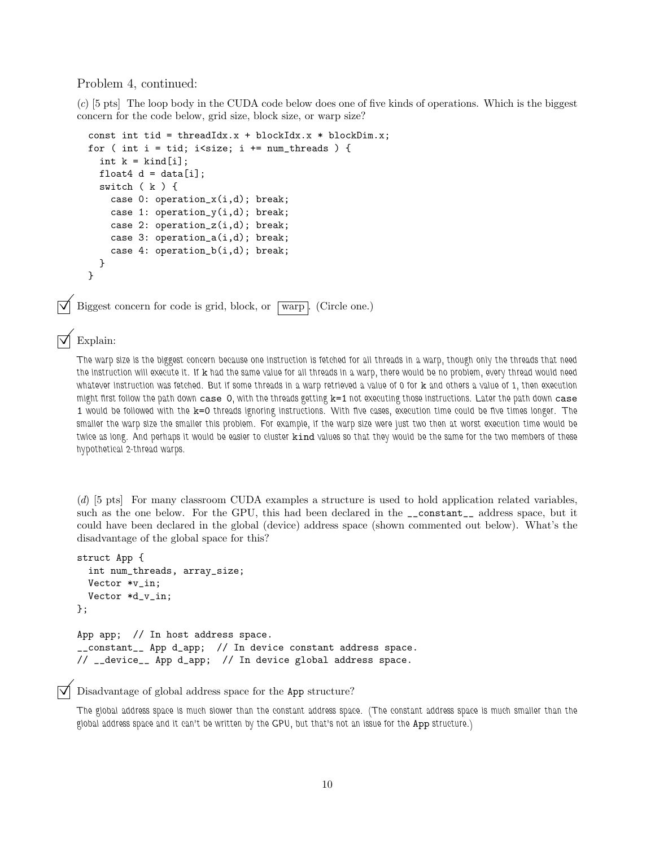#### Problem 4, continued:

(*c*) [5 pts] The loop body in the CUDA code below does one of five kinds of operations. Which is the biggest concern for the code below, grid size, block size, or warp size?

```
const int tid = threadIdx.x + blockIdx.x * blockDim.x;
for ( int i = tid; i<size; i \leftarrow num\_threads ) {
 int k = kind[i];
 float4 d = data[i];
 switch ( k ) {
    case 0: operation_x(i,d); break;
    case 1: operation_y(i,d); break;
    case 2: operation_z(i,d); break;
    case 3: operation_a(i,d); break;
    case 4: operation_b(i,d); break;
 }
}
```
Biggest concern for code is grid, block, or  $\sqrt{\text{warp}}$ . (Circle one.)

## Explain:

The warp size is the biggest concern because one instruction is fetched for all threads in a warp, though only the threads that need the instruction will execute it. If k had the same value for all threads in a warp, there would be no problem, every thread would need whatever instruction was fetched. But if some threads in a warp retrieved a value of 0 for k and others a value of 1, then execution might first follow the path down case 0, with the threads getting k=1 not executing those instructions. Later the path down case 1 would be followed with the k=0 threads ignoring instructions. With five cases, execution time could be five times longer. The smaller the warp size the smaller this problem. For example, if the warp size were just two then at worst execution time would be twice as long. And perhaps it would be easier to cluster kind values so that they would be the same for the two members of these hypothetical 2-thread warps.

(*d*) [5 pts] For many classroom CUDA examples a structure is used to hold application related variables, such as the one below. For the GPU, this had been declared in the \_\_constant\_\_ address space, but it could have been declared in the global (device) address space (shown commented out below). What's the disadvantage of the global space for this?

```
struct App {
  int num_threads, array_size;
 Vector *v_in;
 Vector *d_v_in;
};
App app; // In host address space.
__constant__ App d_app; // In device constant address space.
// __device__ App d_app; // In device global address space.
```
#### Disadvantage of global address space for the App structure?

The global address space is much slower than the constant address space. (The constant address space is much smaller than the global address space and it can't be written by the GPU, but that's not an issue for the App structure.)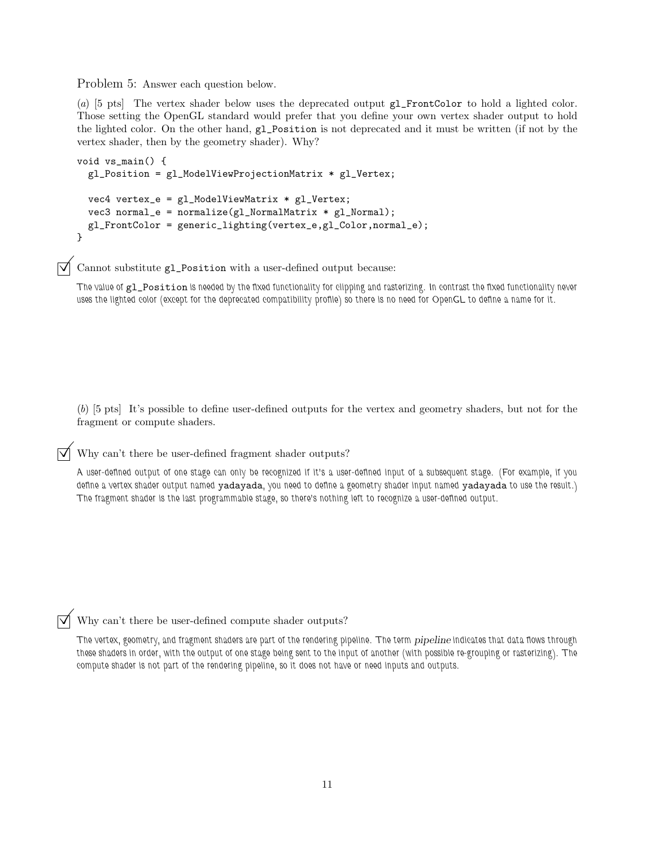Problem 5: Answer each question below.

(*a*) [5 pts] The vertex shader below uses the deprecated output gl\_FrontColor to hold a lighted color. Those setting the OpenGL standard would prefer that you define your own vertex shader output to hold the lighted color. On the other hand, gl\_Position is not deprecated and it must be written (if not by the vertex shader, then by the geometry shader). Why?

```
void vs_main() {
  gl_Position = gl_ModelViewProjectionMatrix * gl_Vertex;
  vec4 vertex_e = gl_ModelViewMatrix * gl_Vertex;
  vec3 normal_e = normalize(gl_NormalMatrix * gl_Normal);
  gl_FrontColor = generic_lighting(vertex_e,gl_Color,normal_e);
}
```
 $\triangledown$  Cannot substitute gl\_Position with a user-defined output because:

The value of  $g1_P$ osition is needed by the fixed functionality for clipping and rasterizing. In contrast the fixed functionality never uses the lighted color (except for the deprecated compatibility profile) so there is no need for OpenGL to define a name for it.

(*b*) [5 pts] It's possible to define user-defined outputs for the vertex and geometry shaders, but not for the fragment or compute shaders.

## $\triangledown$  Why can't there be user-defined fragment shader outputs?

A user-defined output of one stage can only be recognized if it's a user-defined input of a subsequent stage. (For example, if you define a vertex shader output named yadayada, you need to define a geometry shader input named yadayada to use the result.) The fragment shader is the last programmable stage, so there's nothing left to recognize a user-defined output.

Why can't there be user-defined compute shader outputs?

The vertex, geometry, and fragment shaders are part of the rendering pipeline. The term *pipeline* indicates that data flows through these shaders in order, with the output of one stage being sent to the input of another (with possible re-grouping or rasterizing). The compute shader is not part of the rendering pipeline, so it does not have or need inputs and outputs.